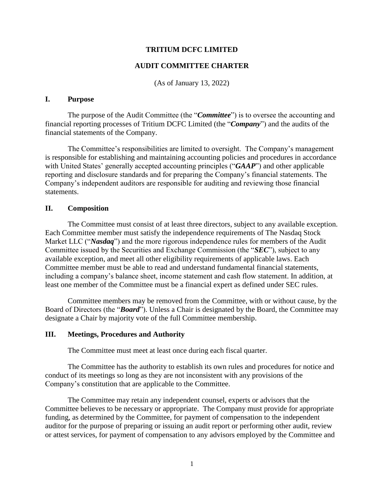#### **TRITIUM DCFC LIMITED**

### **AUDIT COMMITTEE CHARTER**

(As of January 13, 2022)

#### **I. Purpose**

The purpose of the Audit Committee (the "*Committee*") is to oversee the accounting and financial reporting processes of Tritium DCFC Limited (the "*Company*") and the audits of the financial statements of the Company.

The Committee's responsibilities are limited to oversight. The Company's management is responsible for establishing and maintaining accounting policies and procedures in accordance with United States' generally accepted accounting principles ("*GAAP*") and other applicable reporting and disclosure standards and for preparing the Company's financial statements. The Company's independent auditors are responsible for auditing and reviewing those financial statements.

### **II. Composition**

The Committee must consist of at least three directors, subject to any available exception. Each Committee member must satisfy the independence requirements of The Nasdaq Stock Market LLC ("*Nasdaq*") and the more rigorous independence rules for members of the Audit Committee issued by the Securities and Exchange Commission (the "*SEC*"), subject to any available exception, and meet all other eligibility requirements of applicable laws. Each Committee member must be able to read and understand fundamental financial statements, including a company's balance sheet, income statement and cash flow statement. In addition, at least one member of the Committee must be a financial expert as defined under SEC rules.

Committee members may be removed from the Committee, with or without cause, by the Board of Directors (the "*Board*"). Unless a Chair is designated by the Board, the Committee may designate a Chair by majority vote of the full Committee membership.

### **III. Meetings, Procedures and Authority**

The Committee must meet at least once during each fiscal quarter.

The Committee has the authority to establish its own rules and procedures for notice and conduct of its meetings so long as they are not inconsistent with any provisions of the Company's constitution that are applicable to the Committee.

The Committee may retain any independent counsel, experts or advisors that the Committee believes to be necessary or appropriate. The Company must provide for appropriate funding, as determined by the Committee, for payment of compensation to the independent auditor for the purpose of preparing or issuing an audit report or performing other audit, review or attest services, for payment of compensation to any advisors employed by the Committee and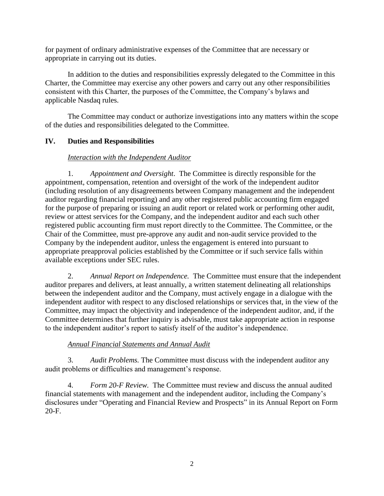for payment of ordinary administrative expenses of the Committee that are necessary or appropriate in carrying out its duties.

In addition to the duties and responsibilities expressly delegated to the Committee in this Charter, the Committee may exercise any other powers and carry out any other responsibilities consistent with this Charter, the purposes of the Committee, the Company's bylaws and applicable Nasdaq rules.

The Committee may conduct or authorize investigations into any matters within the scope of the duties and responsibilities delegated to the Committee.

# **IV. Duties and Responsibilities**

### *Interaction with the Independent Auditor*

1. *Appointment and Oversight*.The Committee is directly responsible for the appointment, compensation, retention and oversight of the work of the independent auditor (including resolution of any disagreements between Company management and the independent auditor regarding financial reporting) and any other registered public accounting firm engaged for the purpose of preparing or issuing an audit report or related work or performing other audit, review or attest services for the Company, and the independent auditor and each such other registered public accounting firm must report directly to the Committee. The Committee, or the Chair of the Committee, must pre-approve any audit and non-audit service provided to the Company by the independent auditor, unless the engagement is entered into pursuant to appropriate preapproval policies established by the Committee or if such service falls within available exceptions under SEC rules.

2. *Annual Report on Independence.* The Committee must ensure that the independent auditor prepares and delivers, at least annually, a written statement delineating all relationships between the independent auditor and the Company, must actively engage in a dialogue with the independent auditor with respect to any disclosed relationships or services that, in the view of the Committee, may impact the objectivity and independence of the independent auditor, and, if the Committee determines that further inquiry is advisable, must take appropriate action in response to the independent auditor's report to satisfy itself of the auditor's independence.

# *Annual Financial Statements and Annual Audit*

3. *Audit Problems.* The Committee must discuss with the independent auditor any audit problems or difficulties and management's response.

4. *Form 20-F Review.* The Committee must review and discuss the annual audited financial statements with management and the independent auditor, including the Company's disclosures under "Operating and Financial Review and Prospects" in its Annual Report on Form 20-F.